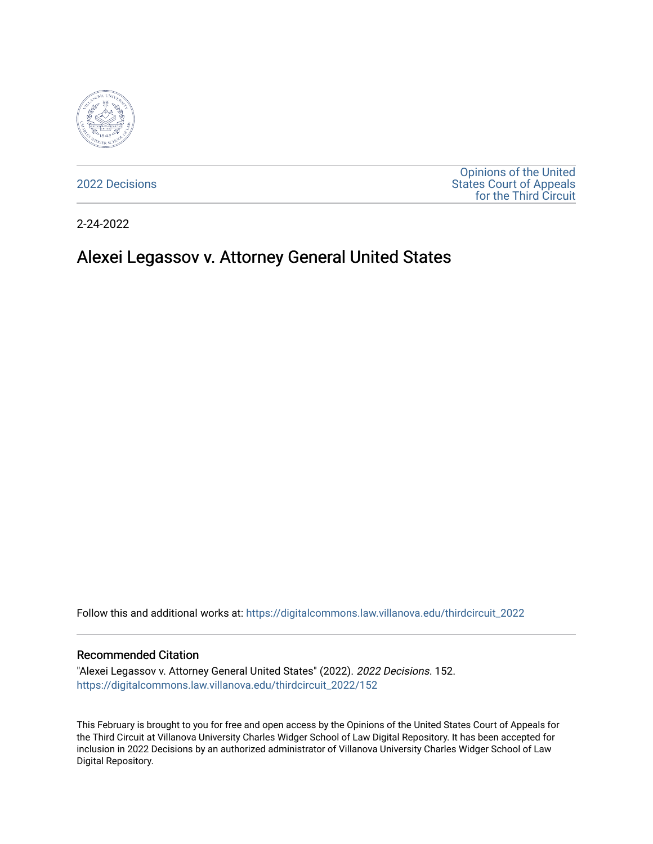

[2022 Decisions](https://digitalcommons.law.villanova.edu/thirdcircuit_2022)

[Opinions of the United](https://digitalcommons.law.villanova.edu/thirdcircuit)  [States Court of Appeals](https://digitalcommons.law.villanova.edu/thirdcircuit)  [for the Third Circuit](https://digitalcommons.law.villanova.edu/thirdcircuit) 

2-24-2022

# Alexei Legassov v. Attorney General United States

Follow this and additional works at: [https://digitalcommons.law.villanova.edu/thirdcircuit\\_2022](https://digitalcommons.law.villanova.edu/thirdcircuit_2022?utm_source=digitalcommons.law.villanova.edu%2Fthirdcircuit_2022%2F152&utm_medium=PDF&utm_campaign=PDFCoverPages) 

#### Recommended Citation

"Alexei Legassov v. Attorney General United States" (2022). 2022 Decisions. 152. [https://digitalcommons.law.villanova.edu/thirdcircuit\\_2022/152](https://digitalcommons.law.villanova.edu/thirdcircuit_2022/152?utm_source=digitalcommons.law.villanova.edu%2Fthirdcircuit_2022%2F152&utm_medium=PDF&utm_campaign=PDFCoverPages)

This February is brought to you for free and open access by the Opinions of the United States Court of Appeals for the Third Circuit at Villanova University Charles Widger School of Law Digital Repository. It has been accepted for inclusion in 2022 Decisions by an authorized administrator of Villanova University Charles Widger School of Law Digital Repository.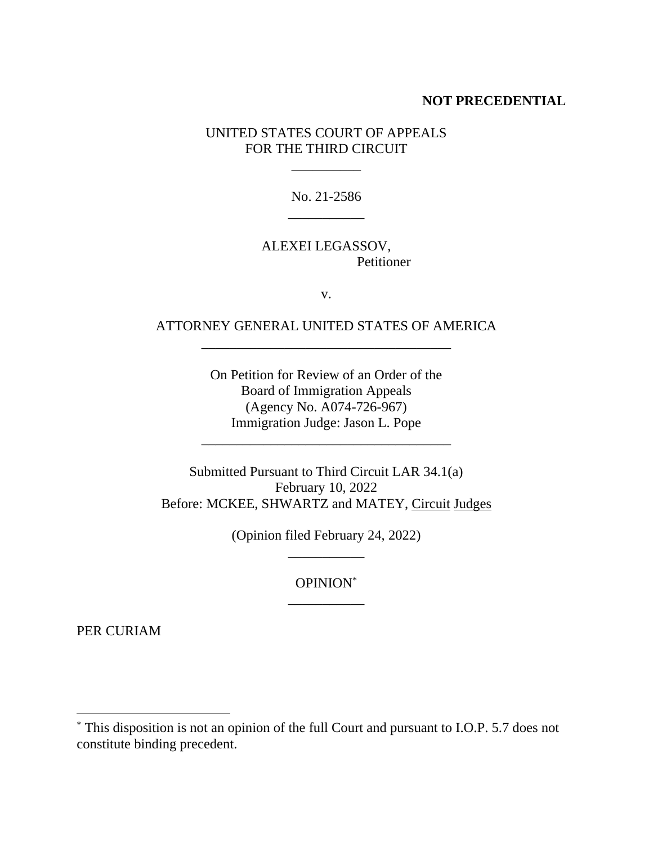### **NOT PRECEDENTIAL**

UNITED STATES COURT OF APPEALS FOR THE THIRD CIRCUIT

\_\_\_\_\_\_\_\_\_\_

No. 21-2586

### ALEXEI LEGASSOV, **Petitioner**

 $\overline{\phantom{a}}$ 

v.

## ATTORNEY GENERAL UNITED STATES OF AMERICA \_\_\_\_\_\_\_\_\_\_\_\_\_\_\_\_\_\_\_\_\_\_\_\_\_\_\_\_\_\_\_\_\_\_\_\_

On Petition for Review of an Order of the Board of Immigration Appeals (Agency No. A074-726-967) Immigration Judge: Jason L. Pope

\_\_\_\_\_\_\_\_\_\_\_\_\_\_\_\_\_\_\_\_\_\_\_\_\_\_\_\_\_\_\_\_\_\_\_\_

Submitted Pursuant to Third Circuit LAR 34.1(a) February 10, 2022 Before: MCKEE, SHWARTZ and MATEY, Circuit Judges

> (Opinion filed February 24, 2022) \_\_\_\_\_\_\_\_\_\_\_

> > OPINION\* \_\_\_\_\_\_\_\_\_\_\_

PER CURIAM

<sup>\*</sup> This disposition is not an opinion of the full Court and pursuant to I.O.P. 5.7 does not constitute binding precedent.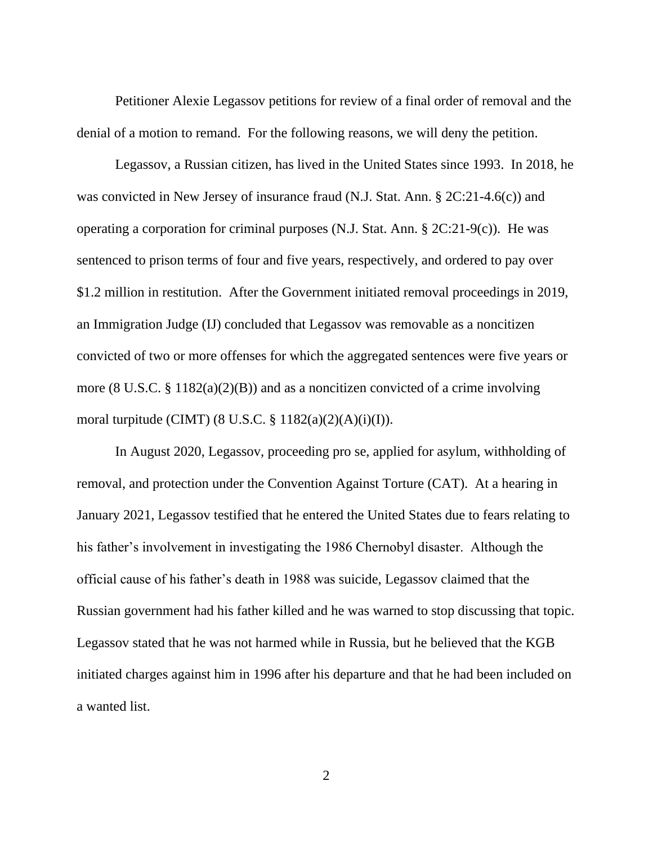Petitioner Alexie Legassov petitions for review of a final order of removal and the denial of a motion to remand. For the following reasons, we will deny the petition.

Legassov, a Russian citizen, has lived in the United States since 1993. In 2018, he was convicted in New Jersey of insurance fraud (N.J. Stat. Ann. § 2C:21-4.6(c)) and operating a corporation for criminal purposes (N.J. Stat. Ann. § 2C:21-9(c)). He was sentenced to prison terms of four and five years, respectively, and ordered to pay over \$1.2 million in restitution. After the Government initiated removal proceedings in 2019, an Immigration Judge (IJ) concluded that Legassov was removable as a noncitizen convicted of two or more offenses for which the aggregated sentences were five years or more (8 U.S.C. § 1182(a)(2)(B)) and as a noncitizen convicted of a crime involving moral turpitude (CIMT) (8 U.S.C. § 1182(a)(2)(A)(i)(I)).

In August 2020, Legassov, proceeding pro se, applied for asylum, withholding of removal, and protection under the Convention Against Torture (CAT). At a hearing in January 2021, Legassov testified that he entered the United States due to fears relating to his father's involvement in investigating the 1986 Chernobyl disaster. Although the official cause of his father's death in 1988 was suicide, Legassov claimed that the Russian government had his father killed and he was warned to stop discussing that topic. Legassov stated that he was not harmed while in Russia, but he believed that the KGB initiated charges against him in 1996 after his departure and that he had been included on a wanted list.

2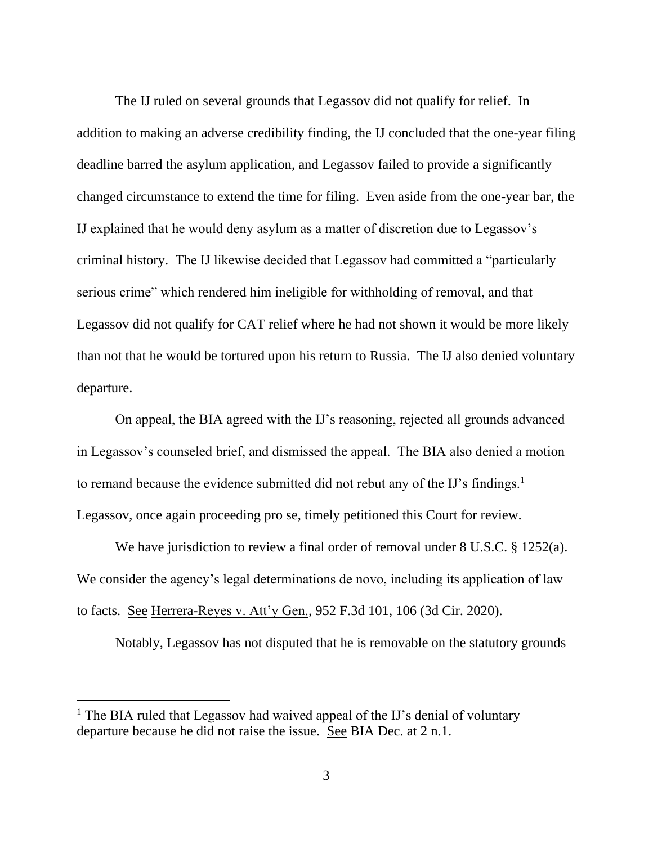The IJ ruled on several grounds that Legassov did not qualify for relief. In addition to making an adverse credibility finding, the IJ concluded that the one-year filing deadline barred the asylum application, and Legassov failed to provide a significantly changed circumstance to extend the time for filing. Even aside from the one-year bar, the IJ explained that he would deny asylum as a matter of discretion due to Legassov's criminal history. The IJ likewise decided that Legassov had committed a "particularly serious crime" which rendered him ineligible for withholding of removal, and that Legassov did not qualify for CAT relief where he had not shown it would be more likely than not that he would be tortured upon his return to Russia. The IJ also denied voluntary departure.

On appeal, the BIA agreed with the IJ's reasoning, rejected all grounds advanced in Legassov's counseled brief, and dismissed the appeal. The BIA also denied a motion to remand because the evidence submitted did not rebut any of the IJ's findings.<sup>1</sup> Legassov, once again proceeding pro se, timely petitioned this Court for review.

We have jurisdiction to review a final order of removal under 8 U.S.C. § 1252(a). We consider the agency's legal determinations de novo, including its application of law to facts. See Herrera-Reyes v. Att'y Gen., 952 F.3d 101, 106 (3d Cir. 2020).

Notably, Legassov has not disputed that he is removable on the statutory grounds

<sup>&</sup>lt;sup>1</sup> The BIA ruled that Legassov had waived appeal of the IJ's denial of voluntary departure because he did not raise the issue. See BIA Dec. at 2 n.1.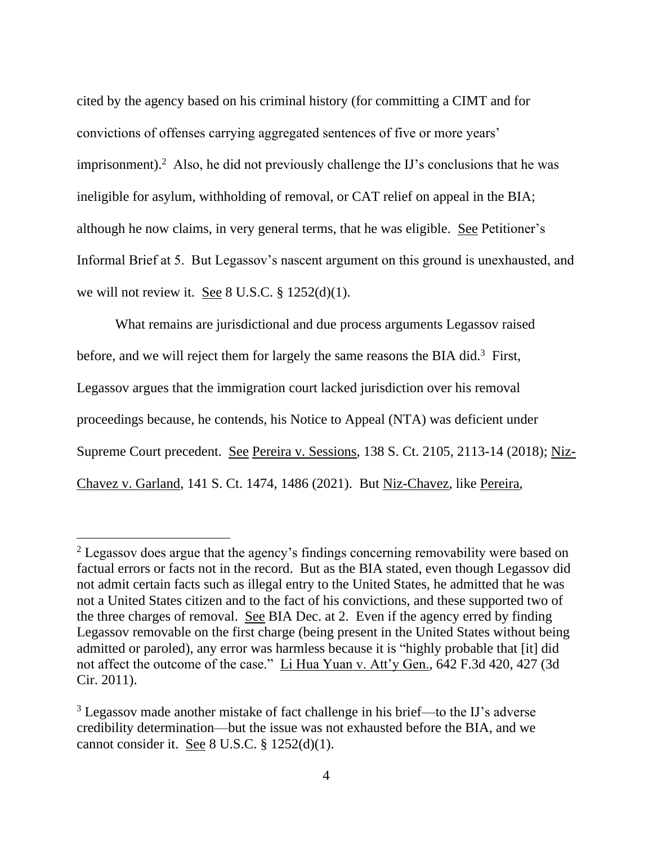cited by the agency based on his criminal history (for committing a CIMT and for convictions of offenses carrying aggregated sentences of five or more years' imprisonment).<sup>2</sup> Also, he did not previously challenge the IJ's conclusions that he was ineligible for asylum, withholding of removal, or CAT relief on appeal in the BIA; although he now claims, in very general terms, that he was eligible. See Petitioner's Informal Brief at 5. But Legassov's nascent argument on this ground is unexhausted, and we will not review it. See 8 U.S.C. § 1252(d)(1).

What remains are jurisdictional and due process arguments Legassov raised before, and we will reject them for largely the same reasons the BIA did.<sup>3</sup> First, Legassov argues that the immigration court lacked jurisdiction over his removal proceedings because, he contends, his Notice to Appeal (NTA) was deficient under Supreme Court precedent. See Pereira v. Sessions, 138 S. Ct. 2105, 2113-14 (2018); Niz-Chavez v. Garland, 141 S. Ct. 1474, 1486 (2021). But Niz-Chavez, like Pereira,

<sup>&</sup>lt;sup>2</sup> Legassov does argue that the agency's findings concerning removability were based on factual errors or facts not in the record. But as the BIA stated, even though Legassov did not admit certain facts such as illegal entry to the United States, he admitted that he was not a United States citizen and to the fact of his convictions, and these supported two of the three charges of removal. See BIA Dec. at 2. Even if the agency erred by finding Legassov removable on the first charge (being present in the United States without being admitted or paroled), any error was harmless because it is "highly probable that [it] did not affect the outcome of the case." Li Hua Yuan v. Att'y Gen., 642 F.3d 420, 427 (3d Cir. 2011).

<sup>3</sup> Legassov made another mistake of fact challenge in his brief—to the IJ's adverse credibility determination—but the issue was not exhausted before the BIA, and we cannot consider it. See 8 U.S.C. § 1252(d)(1).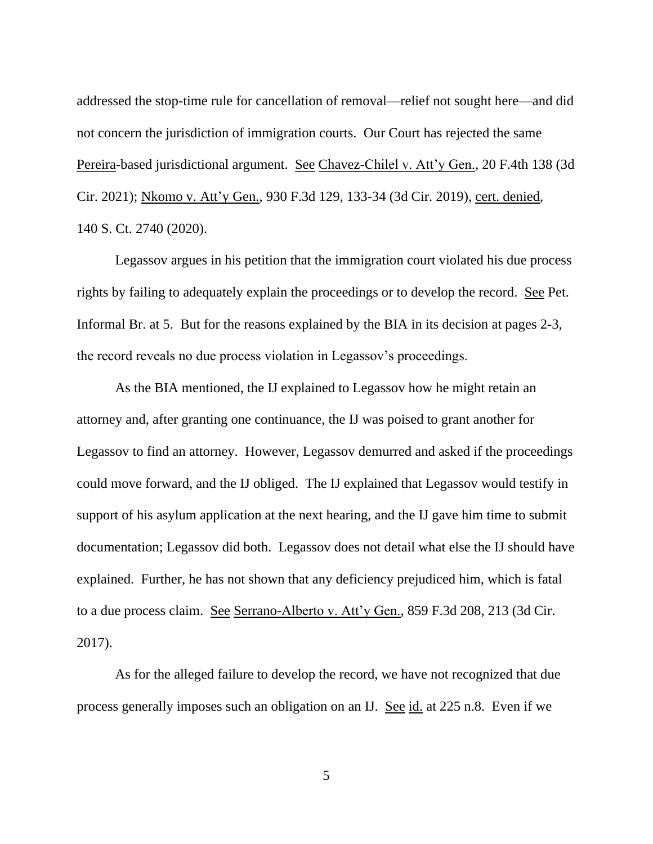addressed the stop-time rule for cancellation of removal—relief not sought here—and did not concern the jurisdiction of immigration courts. Our Court has rejected the same Pereira-based jurisdictional argument. See Chavez-Chilel v. Att'y Gen., 20 F.4th 138 (3d Cir. 2021); Nkomo v. Att'y Gen., 930 F.3d 129, 133-34 (3d Cir. 2019), cert. denied, 140 S. Ct. 2740 (2020).

Legassov argues in his petition that the immigration court violated his due process rights by failing to adequately explain the proceedings or to develop the record. See Pet. Informal Br. at 5. But for the reasons explained by the BIA in its decision at pages 2-3, the record reveals no due process violation in Legassov's proceedings.

As the BIA mentioned, the IJ explained to Legassov how he might retain an attorney and, after granting one continuance, the IJ was poised to grant another for Legassov to find an attorney. However, Legassov demurred and asked if the proceedings could move forward, and the IJ obliged. The IJ explained that Legassov would testify in support of his asylum application at the next hearing, and the IJ gave him time to submit documentation; Legassov did both. Legassov does not detail what else the IJ should have explained. Further, he has not shown that any deficiency prejudiced him, which is fatal to a due process claim. See Serrano-Alberto v. Att'y Gen., 859 F.3d 208, 213 (3d Cir. 2017).

As for the alleged failure to develop the record, we have not recognized that due process generally imposes such an obligation on an IJ. See id. at 225 n.8. Even if we

5